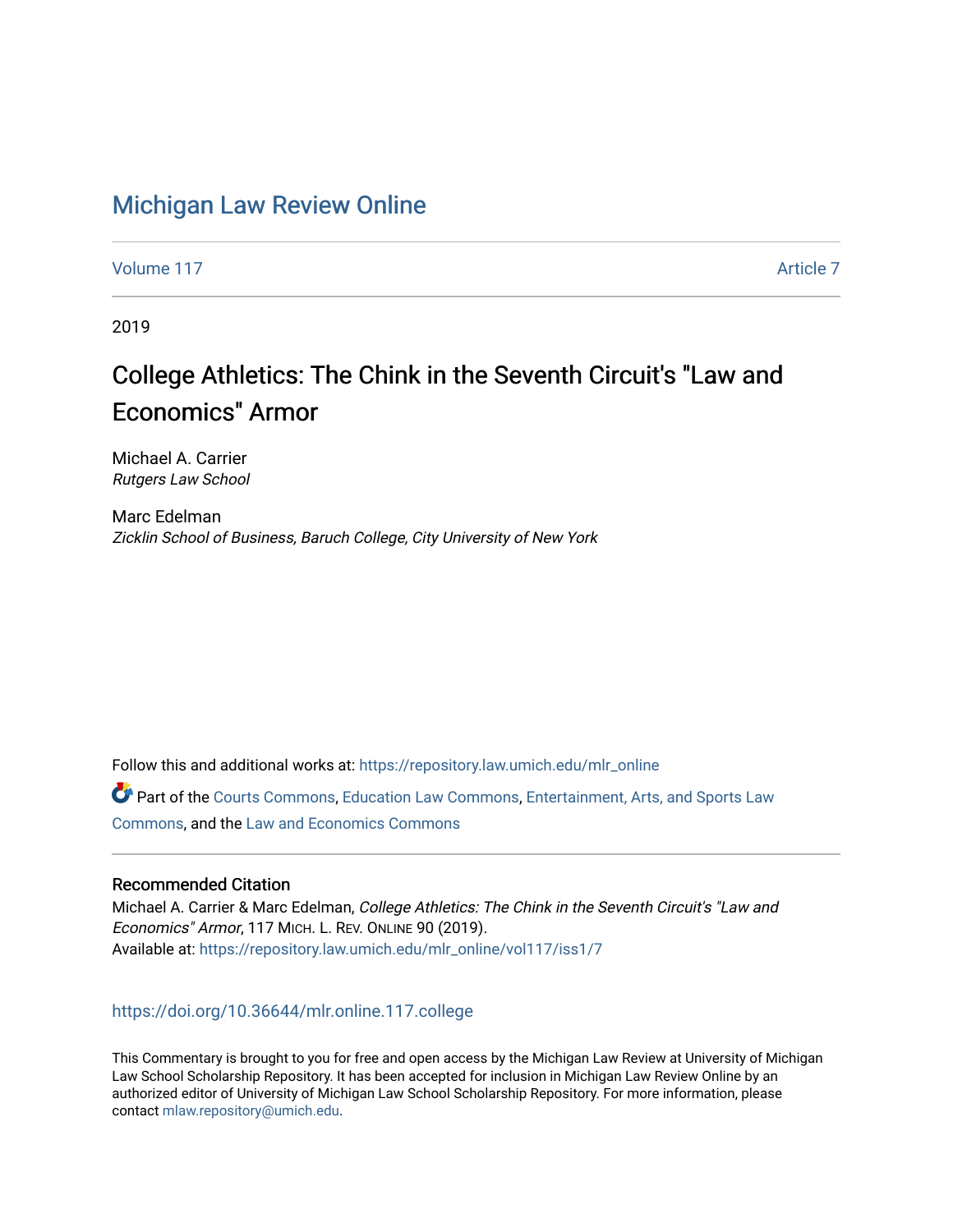## [Michigan Law Review Online](https://repository.law.umich.edu/mlr_online)

[Volume 117](https://repository.law.umich.edu/mlr_online/vol117) Article 7

2019

# College Athletics: The Chink in the Seventh Circuit's "Law and Economics" Armor

Michael A. Carrier Rutgers Law School

Marc Edelman Zicklin School of Business, Baruch College, City University of New York

Follow this and additional works at: [https://repository.law.umich.edu/mlr\\_online](https://repository.law.umich.edu/mlr_online?utm_source=repository.law.umich.edu%2Fmlr_online%2Fvol117%2Fiss1%2F7&utm_medium=PDF&utm_campaign=PDFCoverPages) 

Part of the [Courts Commons,](http://network.bepress.com/hgg/discipline/839?utm_source=repository.law.umich.edu%2Fmlr_online%2Fvol117%2Fiss1%2F7&utm_medium=PDF&utm_campaign=PDFCoverPages) [Education Law Commons,](http://network.bepress.com/hgg/discipline/596?utm_source=repository.law.umich.edu%2Fmlr_online%2Fvol117%2Fiss1%2F7&utm_medium=PDF&utm_campaign=PDFCoverPages) [Entertainment, Arts, and Sports Law](http://network.bepress.com/hgg/discipline/893?utm_source=repository.law.umich.edu%2Fmlr_online%2Fvol117%2Fiss1%2F7&utm_medium=PDF&utm_campaign=PDFCoverPages)  [Commons](http://network.bepress.com/hgg/discipline/893?utm_source=repository.law.umich.edu%2Fmlr_online%2Fvol117%2Fiss1%2F7&utm_medium=PDF&utm_campaign=PDFCoverPages), and the [Law and Economics Commons](http://network.bepress.com/hgg/discipline/612?utm_source=repository.law.umich.edu%2Fmlr_online%2Fvol117%2Fiss1%2F7&utm_medium=PDF&utm_campaign=PDFCoverPages) 

### Recommended Citation

Michael A. Carrier & Marc Edelman, College Athletics: The Chink in the Seventh Circuit's "Law and Economics" Armor, 117 MICH. L. REV. ONLINE 90 (2019). Available at: [https://repository.law.umich.edu/mlr\\_online/vol117/iss1/7](https://repository.law.umich.edu/mlr_online/vol117/iss1/7?utm_source=repository.law.umich.edu%2Fmlr_online%2Fvol117%2Fiss1%2F7&utm_medium=PDF&utm_campaign=PDFCoverPages)

#### <https://doi.org/10.36644/mlr.online.117.college>

This Commentary is brought to you for free and open access by the Michigan Law Review at University of Michigan Law School Scholarship Repository. It has been accepted for inclusion in Michigan Law Review Online by an authorized editor of University of Michigan Law School Scholarship Repository. For more information, please contact [mlaw.repository@umich.edu](mailto:mlaw.repository@umich.edu).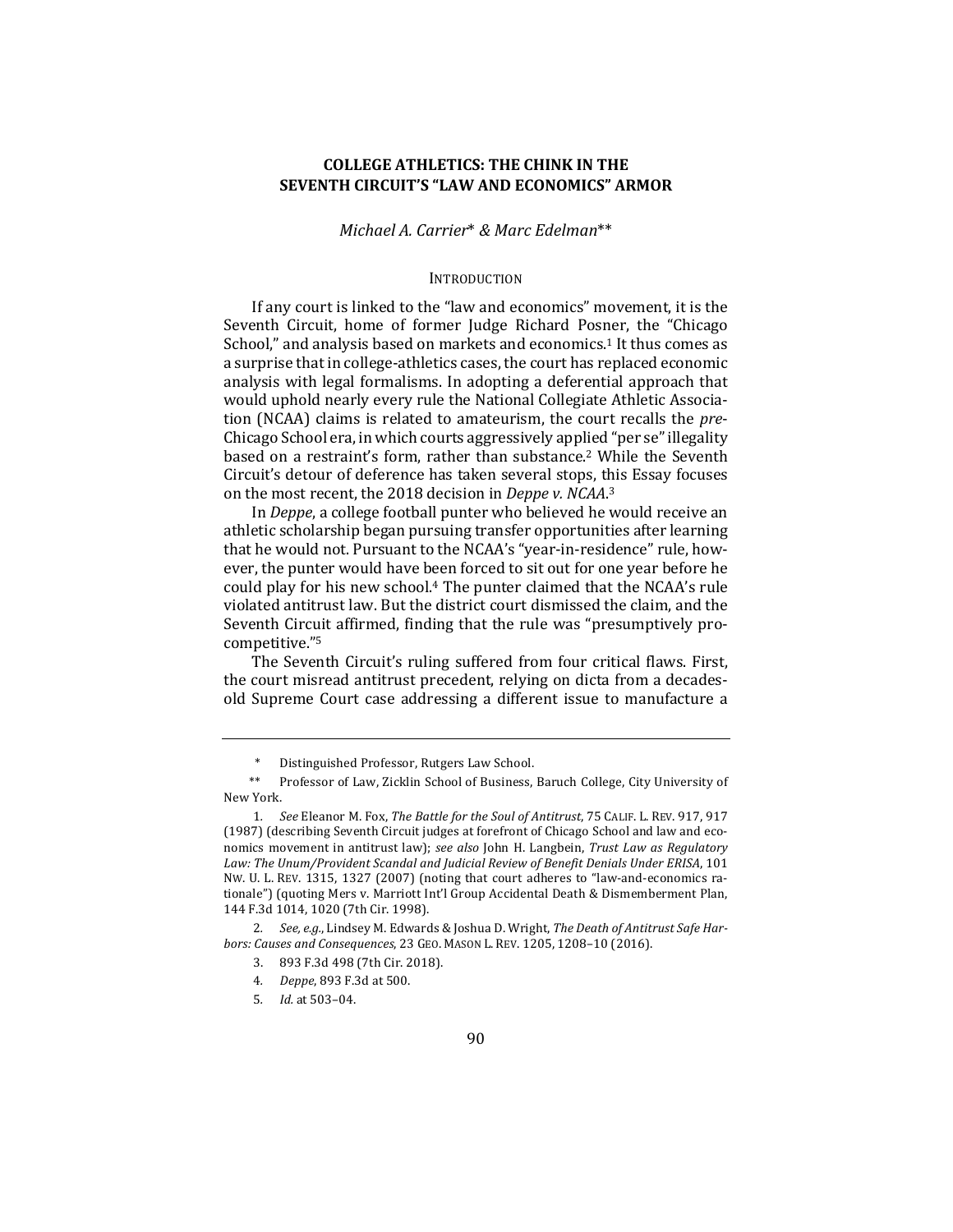#### **COLLEGE ATHLETICS: THE CHINK IN THE SEVENTH CIRCUIT'S "LAW AND ECONOMICS" ARMOR**

*Michael A. Carrier*\* *& Marc Edelman*\*\*

#### INTRODUCTION

If any court is linked to the "law and economics" movement, it is the Seventh Circuit, home of former Judge Richard Posner, the "Chicago School," and analysis based on markets and economics.<sup>1</sup> It thus comes as a surprise that in college-athletics cases, the court has replaced economic analysis with legal formalisms. In adopting a deferential approach that would uphold nearly every rule the National Collegiate Athletic Association (NCAA) claims is related to amateurism, the court recalls the *pre*-Chicago School era, in which courts aggressively applied "per se" illegality based on a restraint's form, rather than substance.<sup>2</sup> While the Seventh Circuit's detour of deference has taken several stops, this Essay focuses on the most recent, the 2018 decision in *Deppe v. NCAA*.<sup>3</sup>

In *Deppe*, a college football punter who believed he would receive an athletic scholarship began pursuing transfer opportunities after learning that he would not. Pursuant to the NCAA's "year-in-residence" rule, however, the punter would have been forced to sit out for one year before he could play for his new school.<sup>4</sup> The punter claimed that the NCAA's rule violated antitrust law. But the district court dismissed the claim, and the Seventh Circuit affirmed, finding that the rule was "presumptively procompetitive."5

The Seventh Circuit's ruling suffered from four critical flaws. First, the court misread antitrust precedent, relying on dicta from a decadesold Supreme Court case addressing a different issue to manufacture a

Distinguished Professor, Rutgers Law School.

<sup>\*\*</sup> Professor of Law, Zicklin School of Business, Baruch College, City University of New York.

<sup>1.</sup> See Eleanor M. Fox, *The Battle for the Soul of Antitrust*, 75 CALIF. L. REV. 917, 917 (1987) (describing Seventh Circuit judges at forefront of Chicago School and law and economics movement in antitrust law); see also John H. Langbein, Trust Law as Regulatory Law: The Unum/Provident Scandal and Judicial Review of Benefit Denials Under ERISA, 101 NW. U. L. REV. 1315, 1327 (2007) (noting that court adheres to "law-and-economics rationale") (quoting Mers v. Marriott Int'l Group Accidental Death & Dismemberment Plan, 144 F.3d 1014, 1020 (7th Cir. 1998).

<sup>2.</sup> See, e.g., Lindsey M. Edwards & Joshua D. Wright, The Death of Antitrust Safe Har*bors: Causes and Consequences*, 23 GEO. MASON L. REV. 1205, 1208–10 (2016).

<sup>3. 893</sup> F.3d 498 (7th Cir. 2018).

<sup>4</sup>*. Deppe*, 893 F.3d at 500.

<sup>5</sup>*. Id.* at 503–04.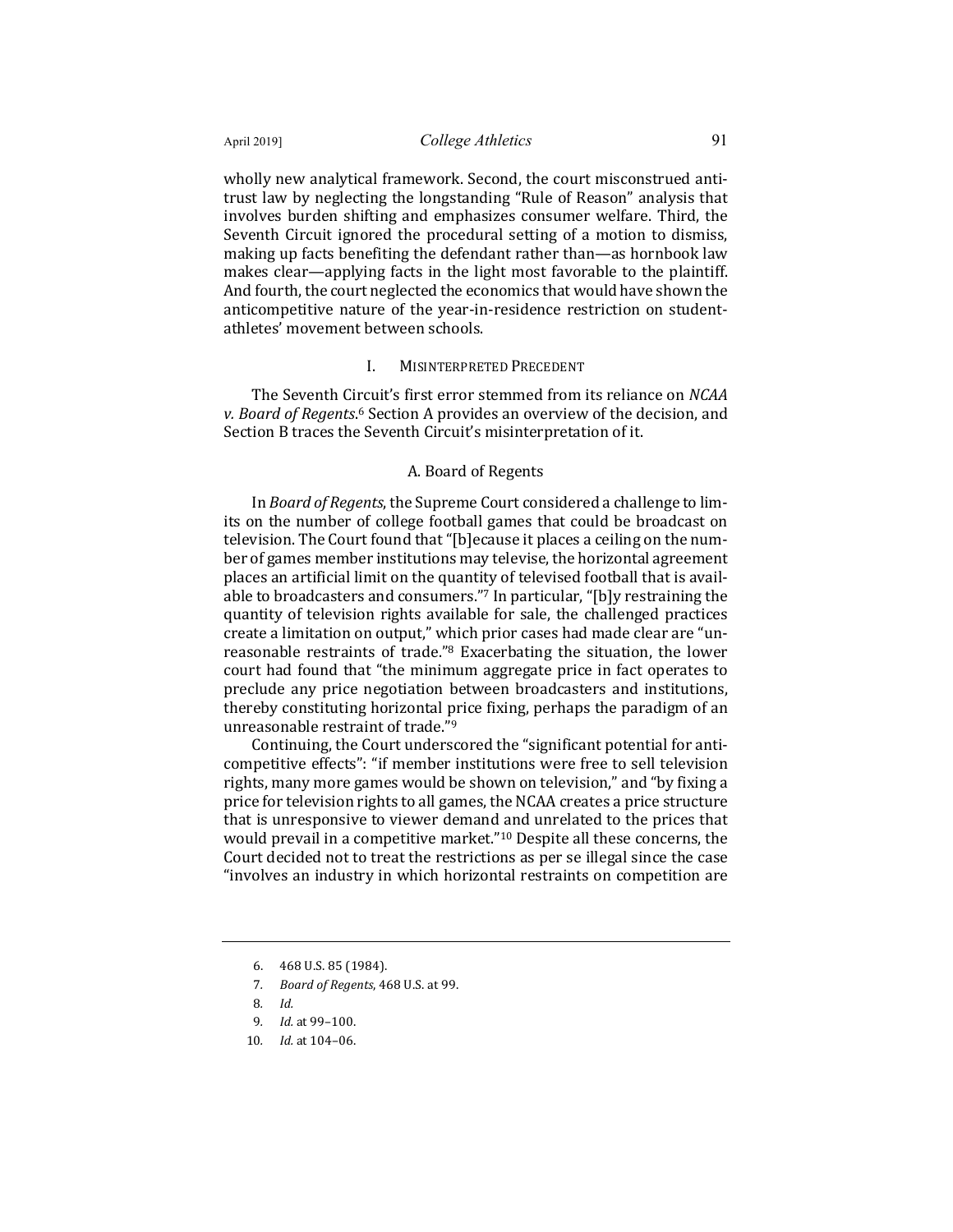wholly new analytical framework. Second, the court misconstrued antitrust law by neglecting the longstanding "Rule of Reason" analysis that involves burden shifting and emphasizes consumer welfare. Third, the Seventh Circuit ignored the procedural setting of a motion to dismiss, making up facts benefiting the defendant rather than—as hornbook law makes clear—applying facts in the light most favorable to the plaintiff. And fourth, the court neglected the economics that would have shown the anticompetitive nature of the year-in-residence restriction on studentathletes' movement between schools.

#### **I. MISINTERPRETED PRECEDENT**

The Seventh Circuit's first error stemmed from its reliance on *NCAA* v. Board of Regents.<sup>6</sup> Section A provides an overview of the decision, and Section B traces the Seventh Circuit's misinterpretation of it.

#### A. Board of Regents

In *Board of Regents*, the Supreme Court considered a challenge to limits on the number of college football games that could be broadcast on television. The Court found that "[b]ecause it places a ceiling on the number of games member institutions may televise, the horizontal agreement places an artificial limit on the quantity of televised football that is available to broadcasters and consumers."<sup>7</sup> In particular, "[b]y restraining the quantity of television rights available for sale, the challenged practices create a limitation on output," which prior cases had made clear are "unreasonable restraints of trade."<sup>8</sup> Exacerbating the situation, the lower court had found that "the minimum aggregate price in fact operates to preclude any price negotiation between broadcasters and institutions, thereby constituting horizontal price fixing, perhaps the paradigm of an unreasonable restraint of trade."<sup>9</sup>

Continuing, the Court underscored the "significant potential for anticompetitive effects": "if member institutions were free to sell television rights, many more games would be shown on television," and "by fixing a price for television rights to all games, the NCAA creates a price structure that is unresponsive to viewer demand and unrelated to the prices that would prevail in a competitive market."<sup>10</sup> Despite all these concerns, the Court decided not to treat the restrictions as per se illegal since the case "involves an industry in which horizontal restraints on competition are

<sup>6. 468</sup> U.S. 85 (1984).

<sup>7</sup>*. Board of Regents*, 468 U.S. at 99.

<sup>8</sup>*. Id.*

<sup>9</sup>*. Id.* at 99–100.

<sup>10</sup>*. Id.* at 104-06.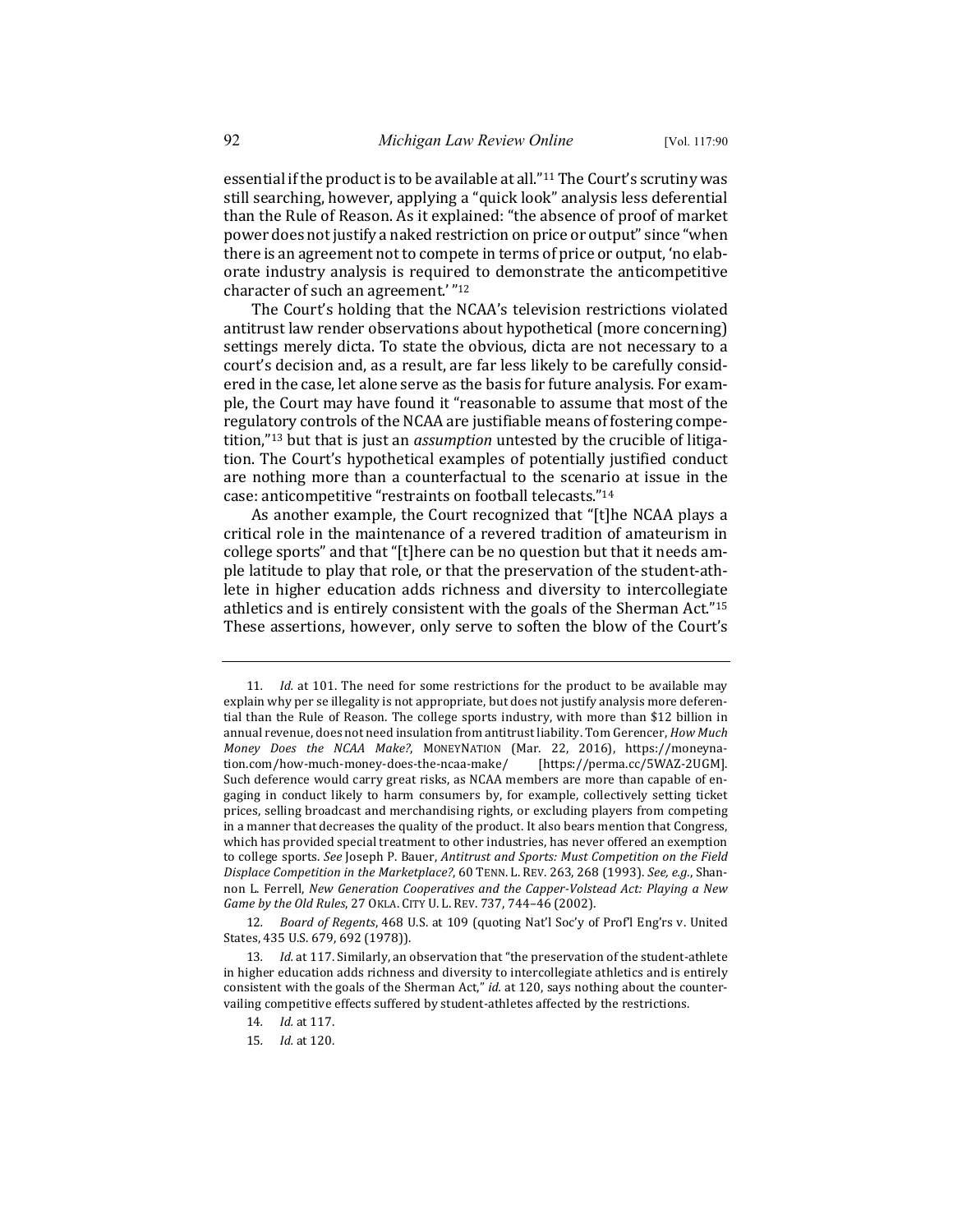essential if the product is to be available at all."<sup>11</sup> The Court's scrutiny was still searching, however, applying a "quick look" analysis less deferential than the Rule of Reason. As it explained: "the absence of proof of market power does not justify a naked restriction on price or output" since "when there is an agreement not to compete in terms of price or output, 'no elaborate industry analysis is required to demonstrate the anticompetitive character of such an agreement.'"<sup>12</sup>

The Court's holding that the NCAA's television restrictions violated antitrust law render observations about hypothetical (more concerning) settings merely dicta. To state the obvious, dicta are not necessary to a court's decision and, as a result, are far less likely to be carefully considered in the case, let alone serve as the basis for future analysis. For example, the Court may have found it "reasonable to assume that most of the regulatory controls of the NCAA are justifiable means of fostering competition,"<sup>13</sup> but that is just an *assumption* untested by the crucible of litigation. The Court's hypothetical examples of potentially justified conduct are nothing more than a counterfactual to the scenario at issue in the case: anticompetitive "restraints on football telecasts."<sup>14</sup>

As another example, the Court recognized that "[t]he NCAA plays a critical role in the maintenance of a revered tradition of amateurism in college sports" and that "[t]here can be no question but that it needs ample latitude to play that role, or that the preservation of the student-athlete in higher education adds richness and diversity to intercollegiate athletics and is entirely consistent with the goals of the Sherman Act."<sup>15</sup> These assertions, however, only serve to soften the blow of the Court's

12. *Board of Regents*, 468 U.S. at 109 (quoting Nat'l Soc'y of Prof'l Eng'rs v. United States, 435 U.S. 679, 692 (1978)).

<sup>11.</sup> *Id.* at 101. The need for some restrictions for the product to be available may explain why per se illegality is not appropriate, but does not justify analysis more deferential than the Rule of Reason. The college sports industry, with more than \$12 billion in annual revenue, does not need insulation from antitrust liability. Tom Gerencer, *How Much Money Does the NCAA Make?*, MONEYNATION (Mar. 22, 2016), https://moneynation.com/how-much-money-does-the-ncaa-make/ [https://perma.cc/5WAZ-2UGM]. Such deference would carry great risks, as NCAA members are more than capable of engaging in conduct likely to harm consumers by, for example, collectively setting ticket prices, selling broadcast and merchandising rights, or excluding players from competing in a manner that decreases the quality of the product. It also bears mention that Congress, which has provided special treatment to other industries, has never offered an exemption to college sports. See Joseph P. Bauer, *Antitrust and Sports: Must Competition on the Field Displace Competition in the Marketplace?*, 60 TENN. L. REV. 263, 268 (1993). *See, e.g.*, Shannon L. Ferrell, *New Generation Cooperatives and the Capper-Volstead Act: Playing a New Game by the Old Rules, 27 OKLA. CITY U. L. REV. 737, 744-46 (2002).* 

<sup>13.</sup> *Id.* at 117. Similarly, an observation that "the preservation of the student-athlete in higher education adds richness and diversity to intercollegiate athletics and is entirely consistent with the goals of the Sherman Act," *id.* at 120, says nothing about the countervailing competitive effects suffered by student-athletes affected by the restrictions.

<sup>14.</sup> *Id.* at 117.

<sup>15</sup>*. Id.* at 120.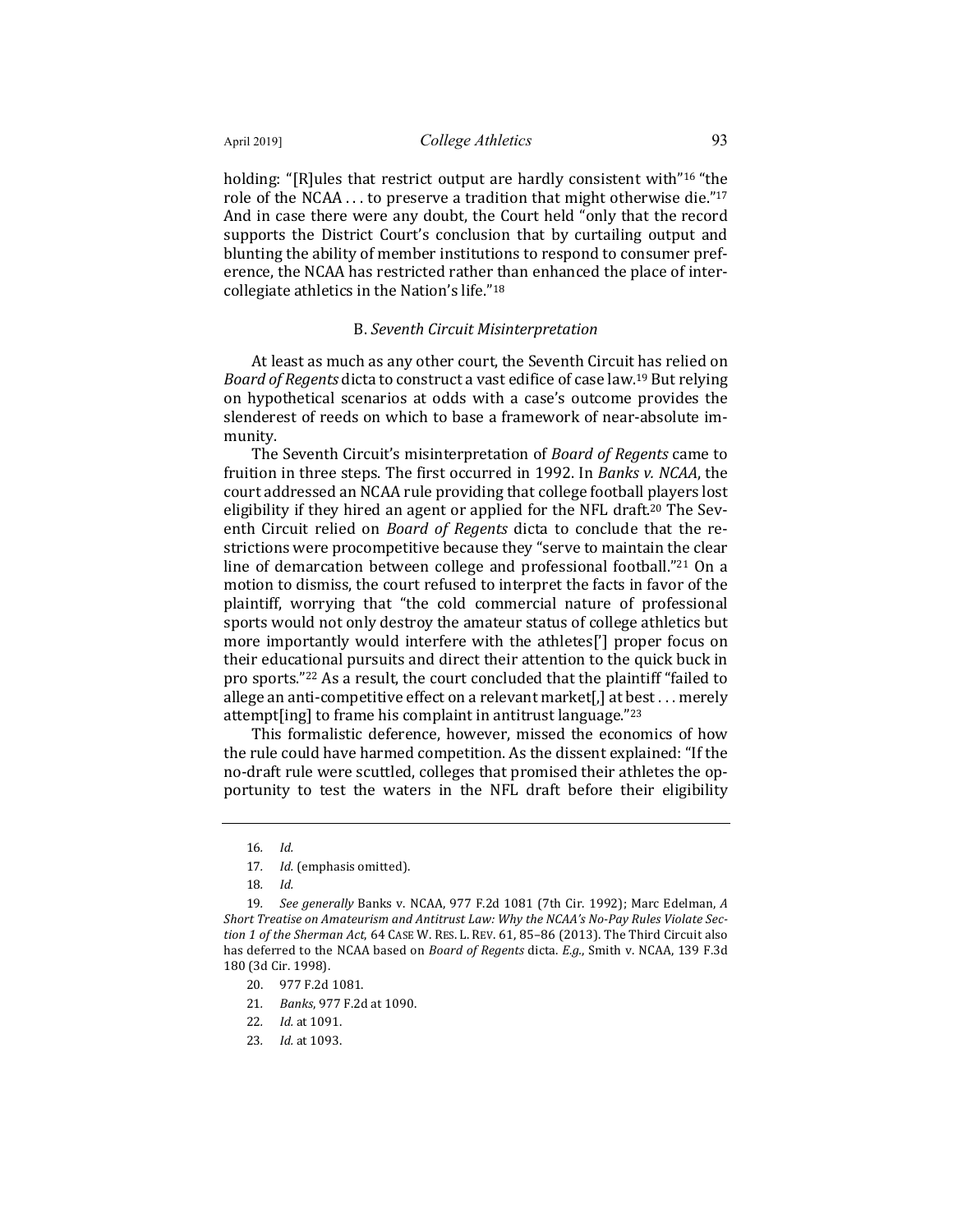holding: "[R]ules that restrict output are hardly consistent with"<sup>16</sup> "the role of the NCAA  $\dots$  to preserve a tradition that might otherwise die."<sup>17</sup> And in case there were any doubt, the Court held "only that the record supports the District Court's conclusion that by curtailing output and blunting the ability of member institutions to respond to consumer preference, the NCAA has restricted rather than enhanced the place of intercollegiate athletics in the Nation's life."<sup>18</sup>

#### B. *Seventh Circuit Misinterpretation*

At least as much as any other court, the Seventh Circuit has relied on *Board of Regents* dicta to construct a vast edifice of case law.<sup>19</sup> But relying on hypothetical scenarios at odds with a case's outcome provides the slenderest of reeds on which to base a framework of near-absolute immunity.

The Seventh Circuit's misinterpretation of *Board of Regents* came to fruition in three steps. The first occurred in 1992. In *Banks v. NCAA*, the court addressed an NCAA rule providing that college football players lost eligibility if they hired an agent or applied for the NFL draft.<sup>20</sup> The Seventh Circuit relied on *Board of Regents* dicta to conclude that the restrictions were procompetitive because they "serve to maintain the clear line of demarcation between college and professional football."<sup>21</sup> On a motion to dismiss, the court refused to interpret the facts in favor of the plaintiff, worrying that "the cold commercial nature of professional sports would not only destroy the amateur status of college athletics but more importantly would interfere with the athletes['] proper focus on their educational pursuits and direct their attention to the quick buck in pro sports."<sup>22</sup> As a result, the court concluded that the plaintiff "failed to allege an anti-competitive effect on a relevant market[,] at best  $\dots$  merely attempt [ing] to frame his complaint in antitrust language." $23$ 

This formalistic deference, however, missed the economics of how the rule could have harmed competition. As the dissent explained: "If the no-draft rule were scuttled, colleges that promised their athletes the opportunity to test the waters in the NFL draft before their eligibility

- 20. 977 F.2d 1081.
- 21*. Banks*, 977 F.2d at 1090.
- 22*. Id.* at 1091.
- 23*. Id.* at 1093.

<sup>16</sup>*. Id.*

<sup>17.</sup> *Id.* (emphasis omitted).

<sup>18</sup>*. Id.*

<sup>19</sup>*. See generally* Banks v. NCAA, 977 F.2d 1081 (7th Cir. 1992); Marc Edelman, *A*  Short Treatise on Amateurism and Antitrust Law: Why the NCAA's No-Pay Rules Violate Sec*tion 1 of the Sherman Act,* 64 CASE W. RES. L. REV. 61, 85-86 (2013). The Third Circuit also has deferred to the NCAA based on *Board of Regents* dicta. *E.g.*, Smith v. NCAA, 139 F.3d 180 (3d Cir. 1998).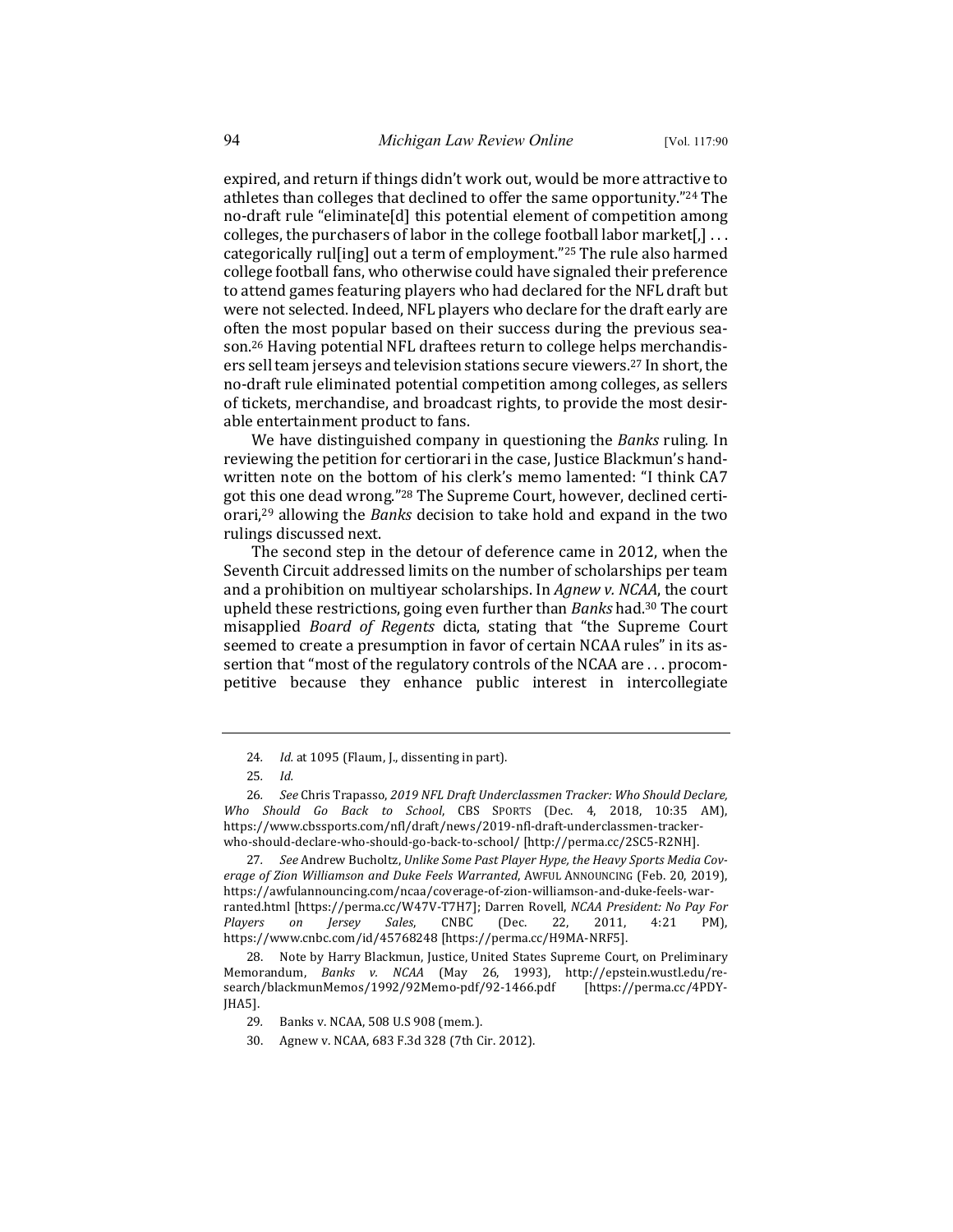expired, and return if things didn't work out, would be more attractive to athletes than colleges that declined to offer the same opportunity."<sup>24</sup> The no-draft rule "eliminate[d] this potential element of competition among colleges, the purchasers of labor in the college football labor market[,]  $\dots$ categorically rulling out a term of employment."<sup>25</sup> The rule also harmed college football fans, who otherwise could have signaled their preference to attend games featuring players who had declared for the NFL draft but were not selected. Indeed, NFL players who declare for the draft early are often the most popular based on their success during the previous season.<sup>26</sup> Having potential NFL draftees return to college helps merchandisers sell team jerseys and television stations secure viewers.<sup>27</sup> In short, the no-draft rule eliminated potential competition among colleges, as sellers of tickets, merchandise, and broadcast rights, to provide the most desirable entertainment product to fans.

We have distinguished company in questioning the *Banks* ruling. In reviewing the petition for certiorari in the case, Justice Blackmun's handwritten note on the bottom of his clerk's memo lamented: "I think CA7 got this one dead wrong."<sup>28</sup> The Supreme Court, however, declined certiorari,<sup>29</sup> allowing the *Banks* decision to take hold and expand in the two rulings discussed next.

The second step in the detour of deference came in 2012, when the Seventh Circuit addressed limits on the number of scholarships per team and a prohibition on multiyear scholarships. In Agnew v. NCAA, the court upheld these restrictions, going even further than *Banks* had.<sup>30</sup> The court misapplied *Board of Regents* dicta, stating that "the Supreme Court seemed to create a presumption in favor of certain NCAA rules" in its assertion that "most of the regulatory controls of the NCAA are . . . procompetitive because they enhance public interest in intercollegiate

27. See Andrew Bucholtz, Unlike Some Past Player Hype, the Heavy Sports Media Coverage of Zion Williamson and Duke Feels Warranted, AWFUL ANNOUNCING (Feb. 20, 2019), https://awfulannouncing.com/ncaa/coverage-of-zion-williamson-and-duke-feels-warranted.html [https://perma.cc/W47V-T7H7]; Darren Rovell, *NCAA President: No Pay For Players on Jersey Sales*, CNBC (Dec. 22, 2011, 4:21 PM), https://www.cnbc.com/id/45768248 [https://perma.cc/H9MA-NRF5].

28. Note by Harry Blackmun, Justice, United States Supreme Court, on Preliminary Memorandum, *Banks v. NCAA* (May 26, 1993), http://epstein.wustl.edu/research/blackmunMemos/1992/92Memo-pdf/92-1466.pdf [https://perma.cc/4PDY-JHA5].

<sup>24.</sup> Id. at 1095 (Flaum, J., dissenting in part).

<sup>25</sup>*. Id.*

<sup>26.</sup> See Chris Trapasso, 2019 NFL Draft Underclassmen Tracker: Who Should Declare, Who Should Go Back to School, CBS SPORTS (Dec. 4, 2018, 10:35 AM), https://www.cbssports.com/nfl/draft/news/2019-nfl-draft-underclassmen-trackerwho-should-declare-who-should-go-back-to-school/ [http://perma.cc/2SC5-R2NH].

<sup>29.</sup> Banks v. NCAA, 508 U.S 908 (mem.).

<sup>30.</sup> Agnew v. NCAA, 683 F.3d 328 (7th Cir. 2012).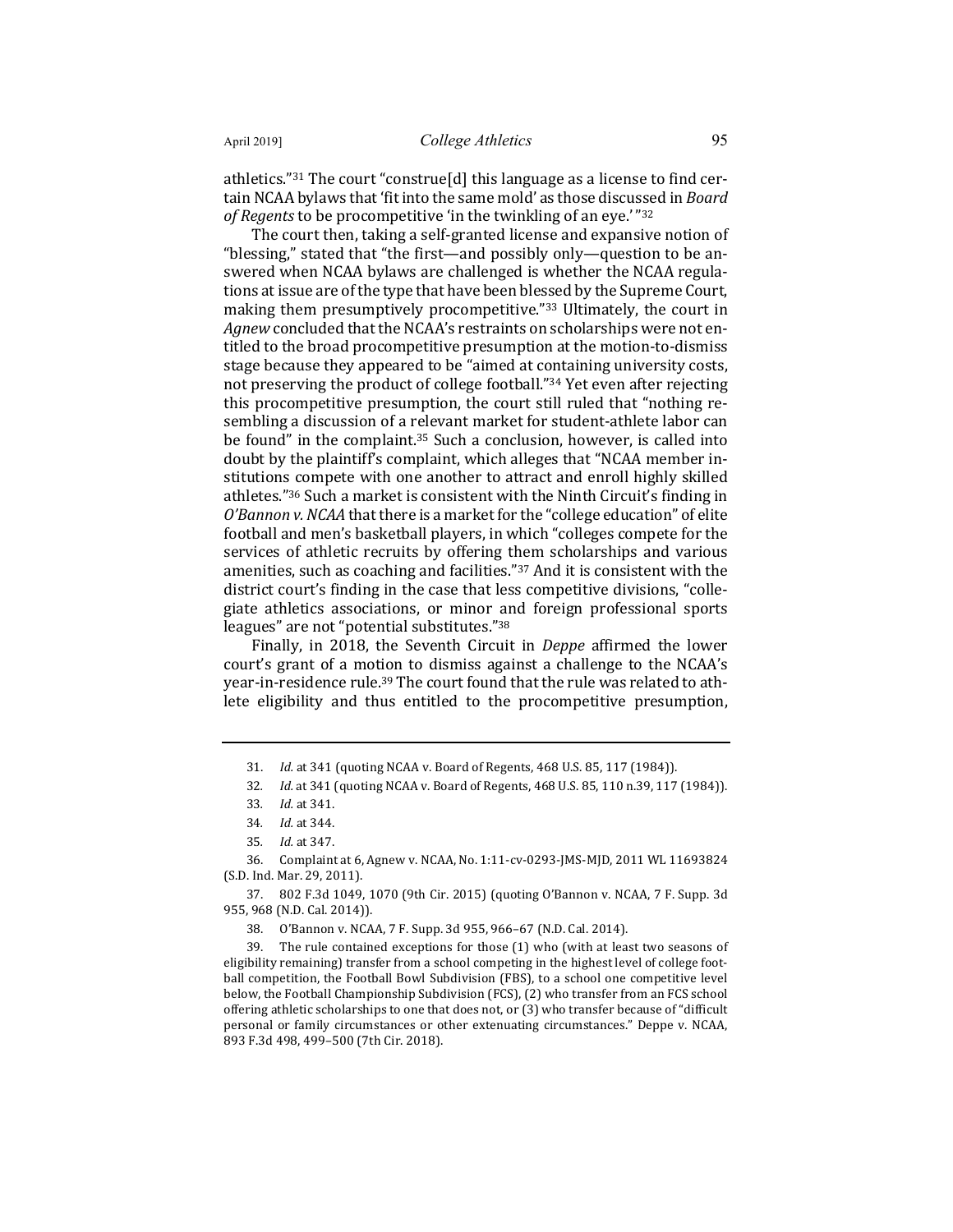athletics."<sup>31</sup> The court "construe[d] this language as a license to find certain NCAA bylaws that 'fit into the same mold' as those discussed in *Board* of Regents to be procompetitive 'in the twinkling of an eye.'"<sup>32</sup>

The court then, taking a self-granted license and expansive notion of "blessing," stated that "the first—and possibly only—question to be answered when NCAA bylaws are challenged is whether the NCAA regulations at issue are of the type that have been blessed by the Supreme Court, making them presumptively procompetitive."<sup>33</sup> Ultimately, the court in *Agnew* concluded that the NCAA's restraints on scholarships were not entitled to the broad procompetitive presumption at the motion-to-dismiss stage because they appeared to be "aimed at containing university costs, not preserving the product of college football."34 Yet even after rejecting this procompetitive presumption, the court still ruled that "nothing resembling a discussion of a relevant market for student-athlete labor can be found" in the complaint. $35$  Such a conclusion, however, is called into doubt by the plaintiff's complaint, which alleges that "NCAA member institutions compete with one another to attract and enroll highly skilled athletes."<sup>36</sup> Such a market is consistent with the Ninth Circuit's finding in *O'Bannon v. NCAA* that there is a market for the "college education" of elite football and men's basketball players, in which "colleges compete for the services of athletic recruits by offering them scholarships and various amenities, such as coaching and facilities." $37$  And it is consistent with the district court's finding in the case that less competitive divisions, "collegiate athletics associations, or minor and foreign professional sports leagues" are not "potential substitutes."<sup>38</sup>

Finally, in 2018, the Seventh Circuit in *Deppe* affirmed the lower court's grant of a motion to dismiss against a challenge to the NCAA's year-in-residence rule.<sup>39</sup> The court found that the rule was related to athlete eligibility and thus entitled to the procompetitive presumption,

<sup>31.</sup> *Id.* at 341 (quoting NCAA v. Board of Regents, 468 U.S. 85, 117 (1984)).

<sup>32.</sup> *Id.* at 341 (quoting NCAA v. Board of Regents, 468 U.S. 85, 110 n.39, 117 (1984)).

<sup>33</sup>*. Id.* at 341.

<sup>34</sup>*. Id.* at 344.

<sup>35</sup>*. Id.* at 347.

<sup>36.</sup> Complaint at 6, Agnew v. NCAA, No. 1:11-cv-0293-JMS-MJD, 2011 WL 11693824 (S.D. Ind. Mar. 29, 2011).

<sup>37. 802</sup> F.3d 1049, 1070 (9th Cir. 2015) (quoting O'Bannon v. NCAA, 7 F. Supp. 3d 955, 968 (N.D. Cal. 2014)).

<sup>38.</sup> O'Bannon v. NCAA, 7 F. Supp. 3d 955, 966-67 (N.D. Cal. 2014).

<sup>39.</sup> The rule contained exceptions for those  $(1)$  who (with at least two seasons of eligibility remaining) transfer from a school competing in the highest level of college football competition, the Football Bowl Subdivision (FBS), to a school one competitive level below, the Football Championship Subdivision (FCS), (2) who transfer from an FCS school offering athletic scholarships to one that does not, or  $(3)$  who transfer because of "difficult personal or family circumstances or other extenuating circumstances." Deppe v. NCAA, 893 F.3d 498, 499-500 (7th Cir. 2018).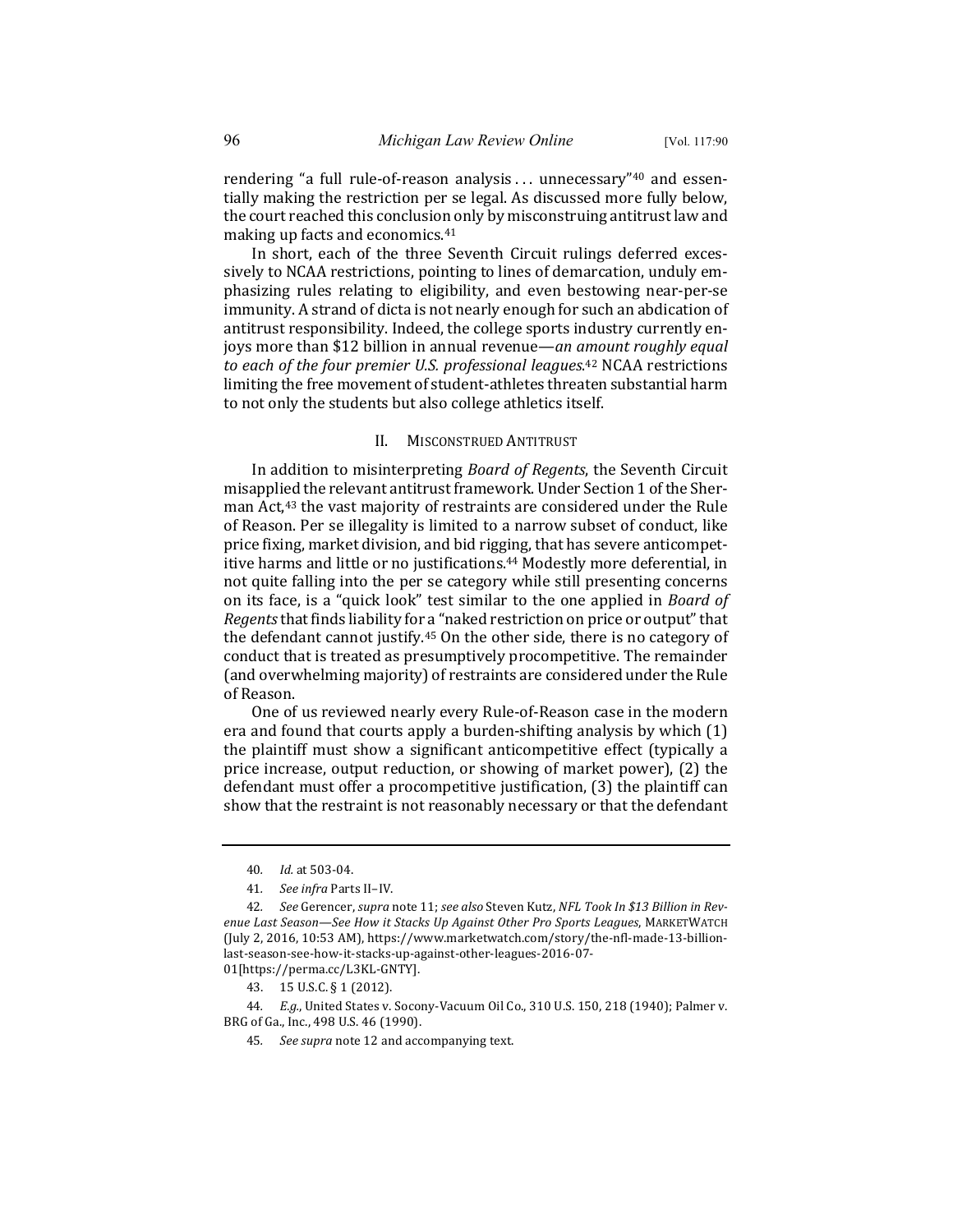rendering "a full rule-of-reason analysis . . . unnecessary"<sup>40</sup> and essentially making the restriction per se legal. As discussed more fully below, the court reached this conclusion only by misconstruing antitrust law and making up facts and economics. $41$ 

In short, each of the three Seventh Circuit rulings deferred excessively to NCAA restrictions, pointing to lines of demarcation, unduly emphasizing rules relating to eligibility, and even bestowing near-per-se immunity. A strand of dicta is not nearly enough for such an abdication of antitrust responsibility. Indeed, the college sports industry currently enjoys more than \$12 billion in annual revenue—*an amount roughly equal* to each of the four premier U.S. professional leagues.<sup>42</sup> NCAA restrictions limiting the free movement of student-athletes threaten substantial harm to not only the students but also college athletics itself.

#### II. MISCONSTRUED ANTITRUST

In addition to misinterpreting *Board of Regents*, the Seventh Circuit misapplied the relevant antitrust framework. Under Section 1 of the Sherman Act,<sup>43</sup> the vast majority of restraints are considered under the Rule of Reason. Per se illegality is limited to a narrow subset of conduct, like price fixing, market division, and bid rigging, that has severe anticompetitive harms and little or no justifications.<sup>44</sup> Modestly more deferential, in not quite falling into the per se category while still presenting concerns on its face, is a "quick look" test similar to the one applied in *Board of Regents* that finds liability for a "naked restriction on price or output" that the defendant cannot justify.<sup>45</sup> On the other side, there is no category of conduct that is treated as presumptively procompetitive. The remainder (and overwhelming majority) of restraints are considered under the Rule of Reason.

One of us reviewed nearly every Rule-of-Reason case in the modern era and found that courts apply a burden-shifting analysis by which  $(1)$ the plaintiff must show a significant anticompetitive effect (typically a price increase, output reduction, or showing of market power), (2) the defendant must offer a procompetitive justification,  $(3)$  the plaintiff can show that the restraint is not reasonably necessary or that the defendant

44. *E.g.*, United States v. Socony-Vacuum Oil Co., 310 U.S. 150, 218 (1940); Palmer v. BRG of Ga., Inc., 498 U.S. 46 (1990).

<sup>40</sup>*. Id.* at 503-04.

<sup>41</sup>*. See infra* Parts II–IV.

<sup>42.</sup> See Gerencer, supra note 11; see also Steven Kutz, NFL Took In \$13 Billion in Revenue Last Season-See How it Stacks Up Against Other Pro Sports Leagues, MARKETWATCH (July 2, 2016, 10:53 AM), https://www.marketwatch.com/story/the-nfl-made-13-billionlast-season-see-how-it-stacks-up-against-other-leagues-2016-07- 01[https://perma.cc/L3KL-GNTY].

<sup>43.</sup> 15 U.S.C. § 1 (2012).

<sup>45.</sup> See supra note 12 and accompanying text.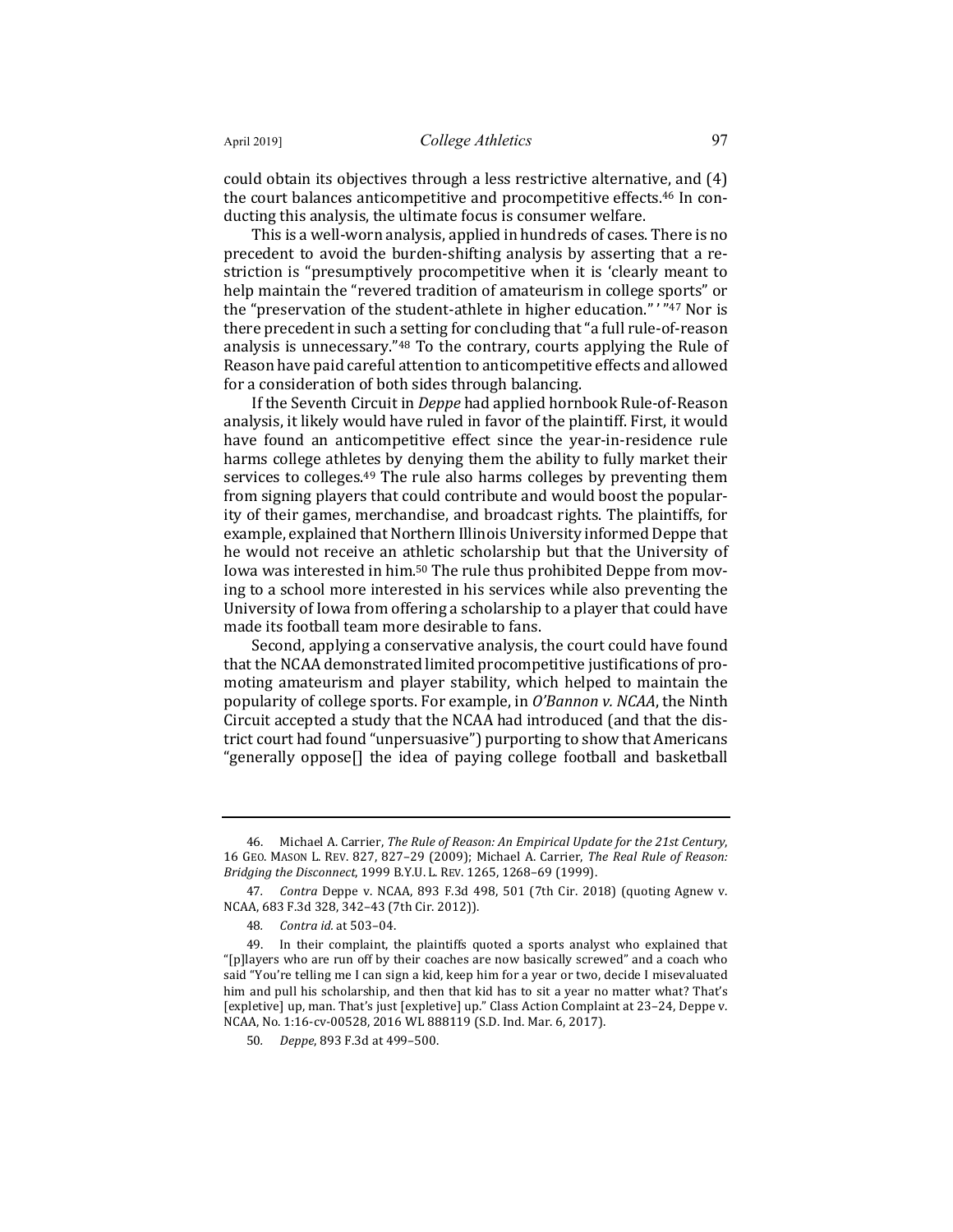could obtain its objectives through a less restrictive alternative, and (4) the court balances anticompetitive and procompetitive effects.<sup>46</sup> In conducting this analysis, the ultimate focus is consumer welfare.

This is a well-worn analysis, applied in hundreds of cases. There is no precedent to avoid the burden-shifting analysis by asserting that a restriction is "presumptively procompetitive when it is 'clearly meant to help maintain the "revered tradition of amateurism in college sports" or the "preservation of the student-athlete in higher education."' "47 Nor is there precedent in such a setting for concluding that "a full rule-of-reason analysis is unnecessary." $48$  To the contrary, courts applying the Rule of Reason have paid careful attention to anticompetitive effects and allowed for a consideration of both sides through balancing.

If the Seventh Circuit in *Deppe* had applied hornbook Rule-of-Reason analysis, it likely would have ruled in favor of the plaintiff. First, it would have found an anticompetitive effect since the year-in-residence rule harms college athletes by denying them the ability to fully market their services to colleges.<sup>49</sup> The rule also harms colleges by preventing them from signing players that could contribute and would boost the popularity of their games, merchandise, and broadcast rights. The plaintiffs, for example, explained that Northern Illinois University informed Deppe that he would not receive an athletic scholarship but that the University of Iowa was interested in him.<sup>50</sup> The rule thus prohibited Deppe from moving to a school more interested in his services while also preventing the University of Iowa from offering a scholarship to a player that could have made its football team more desirable to fans.

Second, applying a conservative analysis, the court could have found that the NCAA demonstrated limited procompetitive justifications of promoting amateurism and player stability, which helped to maintain the popularity of college sports. For example, in *O'Bannon v. NCAA*, the Ninth Circuit accepted a study that the NCAA had introduced (and that the district court had found "unpersuasive") purporting to show that Americans "generally oppose[] the idea of paying college football and basketball

<sup>46.</sup> Michael A. Carrier, *The Rule of Reason: An Empirical Update for the 21st Century*, 16 GEO. MASON L. REV. 827, 827-29 (2009); Michael A. Carrier, *The Real Rule of Reason: Bridging the Disconnect,* 1999 B.Y.U. L. REV. 1265, 1268-69 (1999).

<sup>47.</sup> *Contra* Deppe v. NCAA, 893 F.3d 498, 501 (7th Cir. 2018) (quoting Agnew v. NCAA, 683 F.3d 328, 342-43 (7th Cir. 2012)).

<sup>48</sup>*. Contra id.* at 503–04.

<sup>49.</sup> In their complaint, the plaintiffs quoted a sports analyst who explained that "[p]layers who are run off by their coaches are now basically screwed" and a coach who said "You're telling me I can sign a kid, keep him for a year or two, decide I misevaluated him and pull his scholarship, and then that kid has to sit a year no matter what? That's [expletive] up, man. That's just [expletive] up." Class Action Complaint at 23–24, Deppe v. NCAA, No. 1:16-cv-00528, 2016 WL 888119 (S.D. Ind. Mar. 6, 2017).

<sup>50</sup>*. Deppe*, 893 F.3d at 499–500.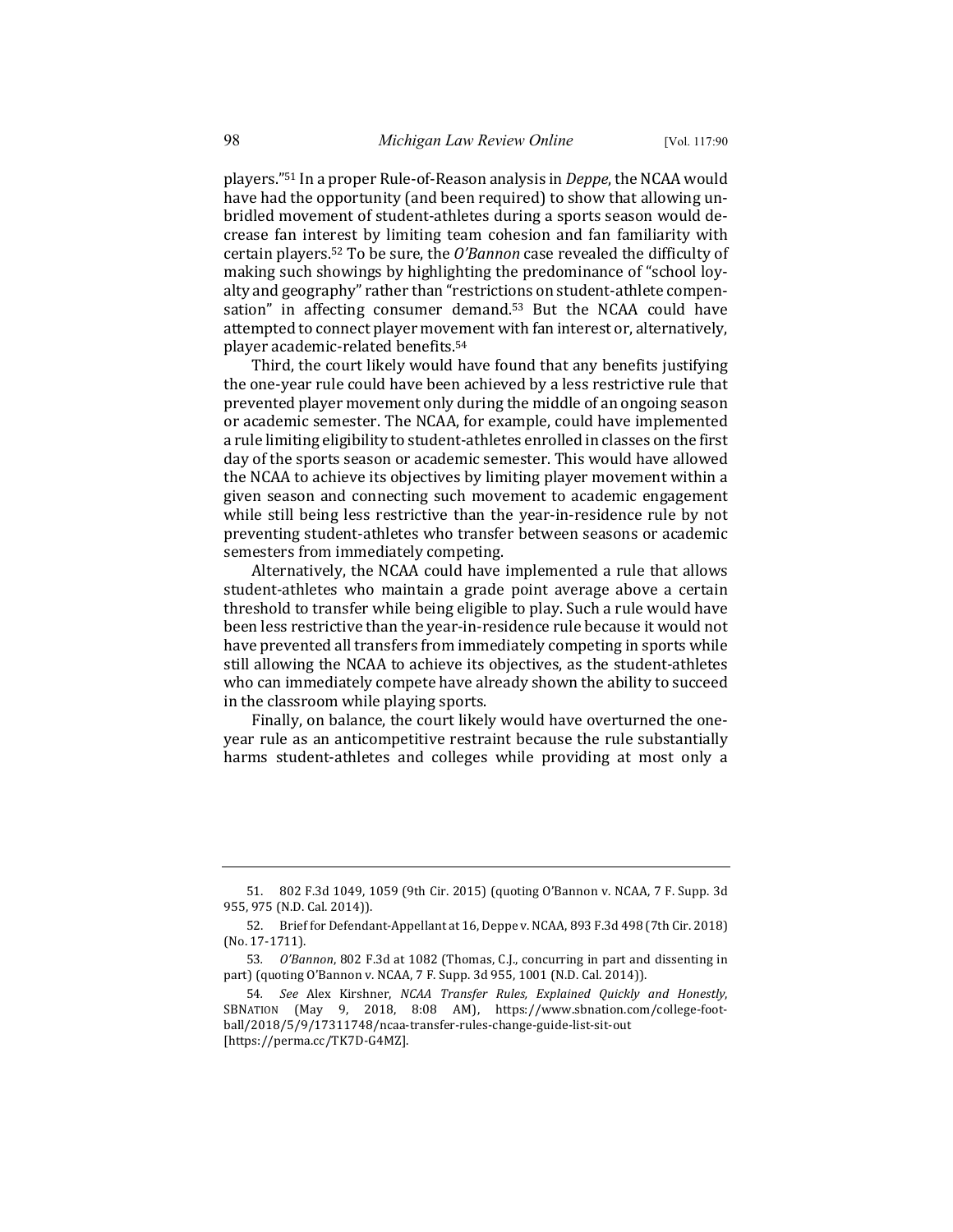players."<sup>51</sup> In a proper Rule-of-Reason analysis in *Deppe*, the NCAA would have had the opportunity (and been required) to show that allowing unbridled movement of student-athletes during a sports season would decrease fan interest by limiting team cohesion and fan familiarity with certain players.<sup>52</sup> To be sure, the *O'Bannon* case revealed the difficulty of making such showings by highlighting the predominance of "school loyalty and geography" rather than "restrictions on student-athlete compensation" in affecting consumer demand.<sup>53</sup> But the NCAA could have attempted to connect player movement with fan interest or, alternatively, player academic-related benefits.<sup>54</sup>

Third, the court likely would have found that any benefits justifying the one-year rule could have been achieved by a less restrictive rule that prevented player movement only during the middle of an ongoing season or academic semester. The NCAA, for example, could have implemented a rule limiting eligibility to student-athletes enrolled in classes on the first day of the sports season or academic semester. This would have allowed the NCAA to achieve its objectives by limiting player movement within a given season and connecting such movement to academic engagement while still being less restrictive than the year-in-residence rule by not preventing student-athletes who transfer between seasons or academic semesters from immediately competing.

Alternatively, the NCAA could have implemented a rule that allows student-athletes who maintain a grade point average above a certain threshold to transfer while being eligible to play. Such a rule would have been less restrictive than the year-in-residence rule because it would not have prevented all transfers from immediately competing in sports while still allowing the NCAA to achieve its objectives, as the student-athletes who can immediately compete have already shown the ability to succeed in the classroom while playing sports.

Finally, on balance, the court likely would have overturned the oneyear rule as an anticompetitive restraint because the rule substantially harms student-athletes and colleges while providing at most only a

<sup>51. 802</sup> F.3d 1049, 1059 (9th Cir. 2015) (quoting O'Bannon v. NCAA, 7 F. Supp. 3d 955, 975 (N.D. Cal. 2014)).

<sup>52.</sup> Brief for Defendant-Appellant at 16, Deppe v. NCAA, 893 F.3d 498 (7th Cir. 2018) (No. 17-1711).

<sup>53.</sup> O'Bannon, 802 F.3d at 1082 (Thomas, C.J., concurring in part and dissenting in part) (quoting O'Bannon v. NCAA, 7 F. Supp. 3d 955, 1001 (N.D. Cal. 2014)).

<sup>54</sup>*. See* Alex Kirshner, *NCAA Transfer Rules, Explained Quickly and Honestly*, SBNATION (May 9, 2018, 8:08 AM), https://www.sbnation.com/college-football/2018/5/9/17311748/ncaa-transfer-rules-change-guide-list-sit-out [https://perma.cc/TK7D-G4MZ].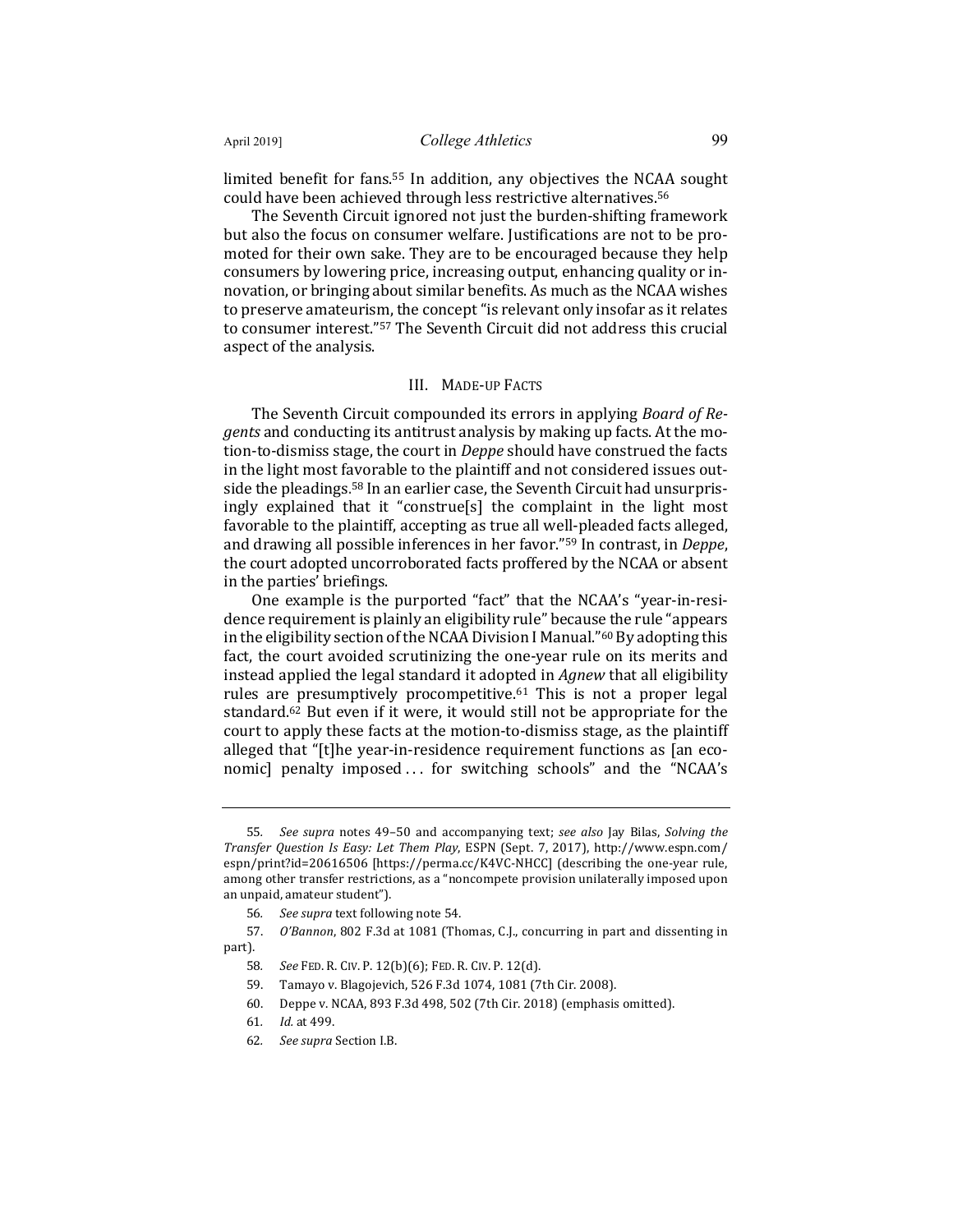limited benefit for fans.<sup>55</sup> In addition, any objectives the NCAA sought could have been achieved through less restrictive alternatives.<sup>56</sup>

The Seventh Circuit ignored not just the burden-shifting framework but also the focus on consumer welfare. Justifications are not to be promoted for their own sake. They are to be encouraged because they help consumers by lowering price, increasing output, enhancing quality or innovation, or bringing about similar benefits. As much as the NCAA wishes to preserve amateurism, the concept "is relevant only insofar as it relates to consumer interest."<sup>57</sup> The Seventh Circuit did not address this crucial aspect of the analysis.

#### III. MADE-UP FACTS

The Seventh Circuit compounded its errors in applying *Board of Regents* and conducting its antitrust analysis by making up facts. At the motion-to-dismiss stage, the court in *Deppe* should have construed the facts in the light most favorable to the plaintiff and not considered issues outside the pleadings.<sup>58</sup> In an earlier case, the Seventh Circuit had unsurprisingly explained that it "construe[s] the complaint in the light most favorable to the plaintiff, accepting as true all well-pleaded facts alleged, and drawing all possible inferences in her favor."<sup>59</sup> In contrast, in *Deppe*, the court adopted uncorroborated facts proffered by the NCAA or absent in the parties' briefings.

One example is the purported "fact" that the NCAA's "year-in-residence requirement is plainly an eligibility rule" because the rule "appears" in the eligibility section of the NCAA Division I Manual."<sup>60</sup> By adopting this fact, the court avoided scrutinizing the one-year rule on its merits and instead applied the legal standard it adopted in *Agnew* that all eligibility rules are presumptively procompetitive.<sup>61</sup> This is not a proper legal standard.<sup>62</sup> But even if it were, it would still not be appropriate for the court to apply these facts at the motion-to-dismiss stage, as the plaintiff alleged that "[t]he year-in-residence requirement functions as [an economic] penalty imposed ... for switching schools" and the "NCAA's

<sup>55.</sup> *See supra* notes 49–50 and accompanying text; *see also* Jay Bilas, *Solving the Transfer Question Is Easy: Let Them Play*, ESPN (Sept. 7, 2017), http://www.espn.com/ espn/print?id=20616506 [https://perma.cc/K4VC-NHCC] (describing the one-year rule, among other transfer restrictions, as a "noncompete provision unilaterally imposed upon an unpaid, amateur student").

<sup>56.</sup> See *supra* text following note 54.

<sup>57.</sup> *O'Bannon*, 802 F.3d at 1081 (Thomas, C.J., concurring in part and dissenting in part).

<sup>58</sup>*. See* FED. R. CIV. P. 12(b)(6); FED. R. CIV. P. 12(d).

<sup>59.</sup> Tamayo v. Blagojevich, 526 F.3d 1074, 1081 (7th Cir. 2008).

<sup>60.</sup> Deppe v. NCAA, 893 F.3d 498, 502 (7th Cir. 2018) (emphasis omitted).

<sup>61</sup>*. Id.* at 499.

<sup>62</sup>*. See supra* Section I.B.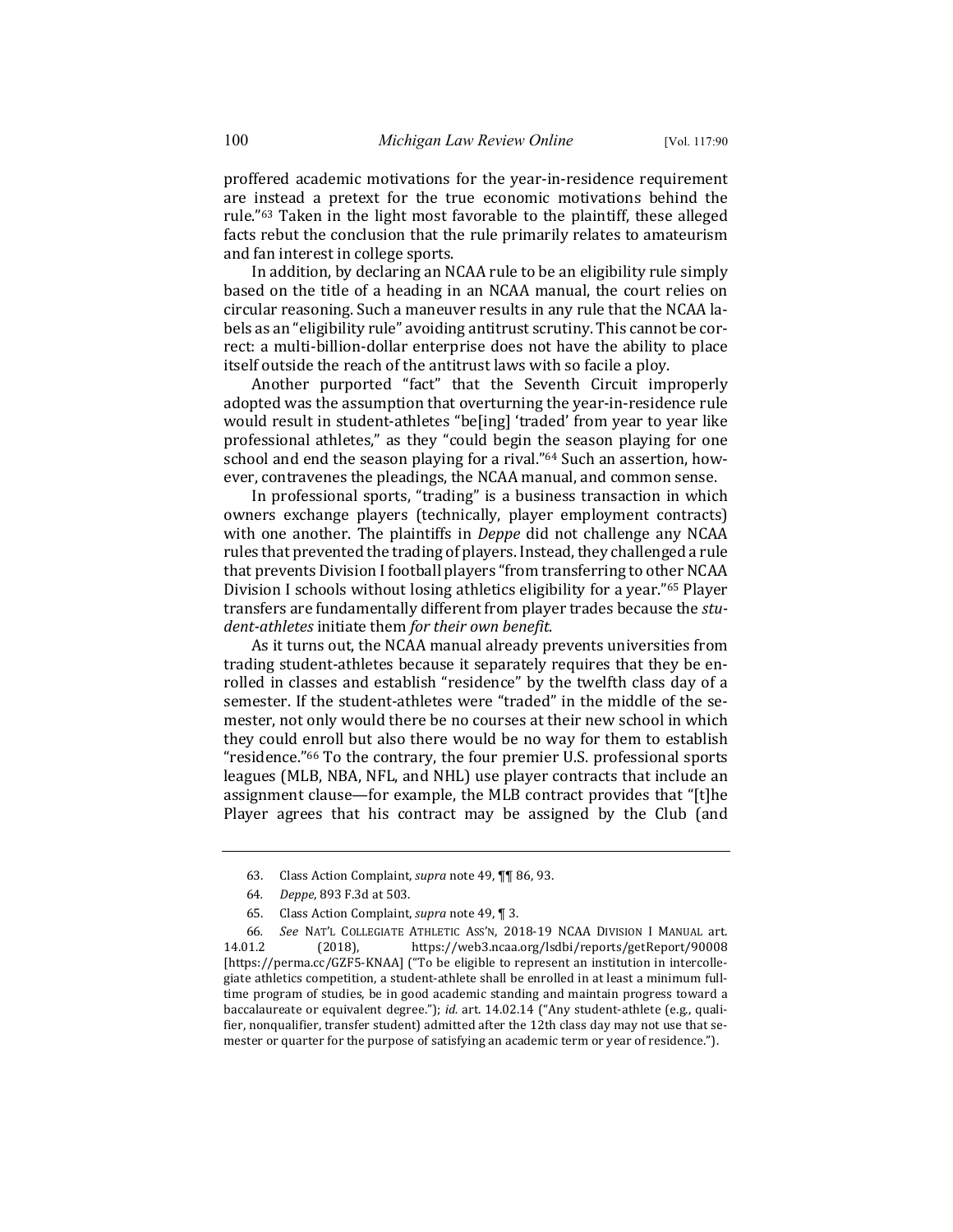proffered academic motivations for the year-in-residence requirement are instead a pretext for the true economic motivations behind the rule."<sup>63</sup> Taken in the light most favorable to the plaintiff, these alleged facts rebut the conclusion that the rule primarily relates to amateurism and fan interest in college sports.

In addition, by declaring an NCAA rule to be an eligibility rule simply based on the title of a heading in an NCAA manual, the court relies on circular reasoning. Such a maneuver results in any rule that the NCAA labels as an "eligibility rule" avoiding antitrust scrutiny. This cannot be correct: a multi-billion-dollar enterprise does not have the ability to place itself outside the reach of the antitrust laws with so facile a ploy.

Another purported "fact" that the Seventh Circuit improperly adopted was the assumption that overturning the year-in-residence rule would result in student-athletes "be[ing] 'traded' from year to year like professional athletes," as they "could begin the season playing for one school and end the season playing for a rival." $64$  Such an assertion, however, contravenes the pleadings, the NCAA manual, and common sense.

In professional sports, "trading" is a business transaction in which owners exchange players (technically, player employment contracts) with one another. The plaintiffs in *Deppe* did not challenge any NCAA rules that prevented the trading of players. Instead, they challenged a rule that prevents Division I football players "from transferring to other NCAA Division I schools without losing athletics eligibility for a year."<sup>65</sup> Player transfers are fundamentally different from player trades because the *stu*dent-athletes initiate them for their own benefit.

As it turns out, the NCAA manual already prevents universities from trading student-athletes because it separately requires that they be enrolled in classes and establish "residence" by the twelfth class day of a semester. If the student-athletes were "traded" in the middle of the semester, not only would there be no courses at their new school in which they could enroll but also there would be no way for them to establish "residence."<sup>66</sup> To the contrary, the four premier U.S. professional sports leagues (MLB, NBA, NFL, and NHL) use player contracts that include an assignment clause—for example, the MLB contract provides that "[t]he Player agrees that his contract may be assigned by the Club (and

<sup>63.</sup> Class Action Complaint, *supra* note 49, **[1]** 86, 93.

<sup>64</sup>*. Deppe*, 893 F.3d at 503.

<sup>65.</sup> Class Action Complaint, *supra* note 49, ¶ 3.

<sup>66</sup>*. See* NAT'L COLLEGIATE ATHLETIC ASS'N, 2018-19 NCAA DIVISION I MANUAL art. 14.01.2 (2018), https://web3.ncaa.org/lsdbi/reports/getReport/90008 [https://perma.cc/GZF5-KNAA] ("To be eligible to represent an institution in intercollegiate athletics competition, a student-athlete shall be enrolled in at least a minimum fulltime program of studies, be in good academic standing and maintain progress toward a baccalaureate or equivalent degree."); *id.* art. 14.02.14 ("Any student-athlete (e.g., qualifier, nonqualifier, transfer student) admitted after the 12th class day may not use that semester or quarter for the purpose of satisfying an academic term or year of residence.").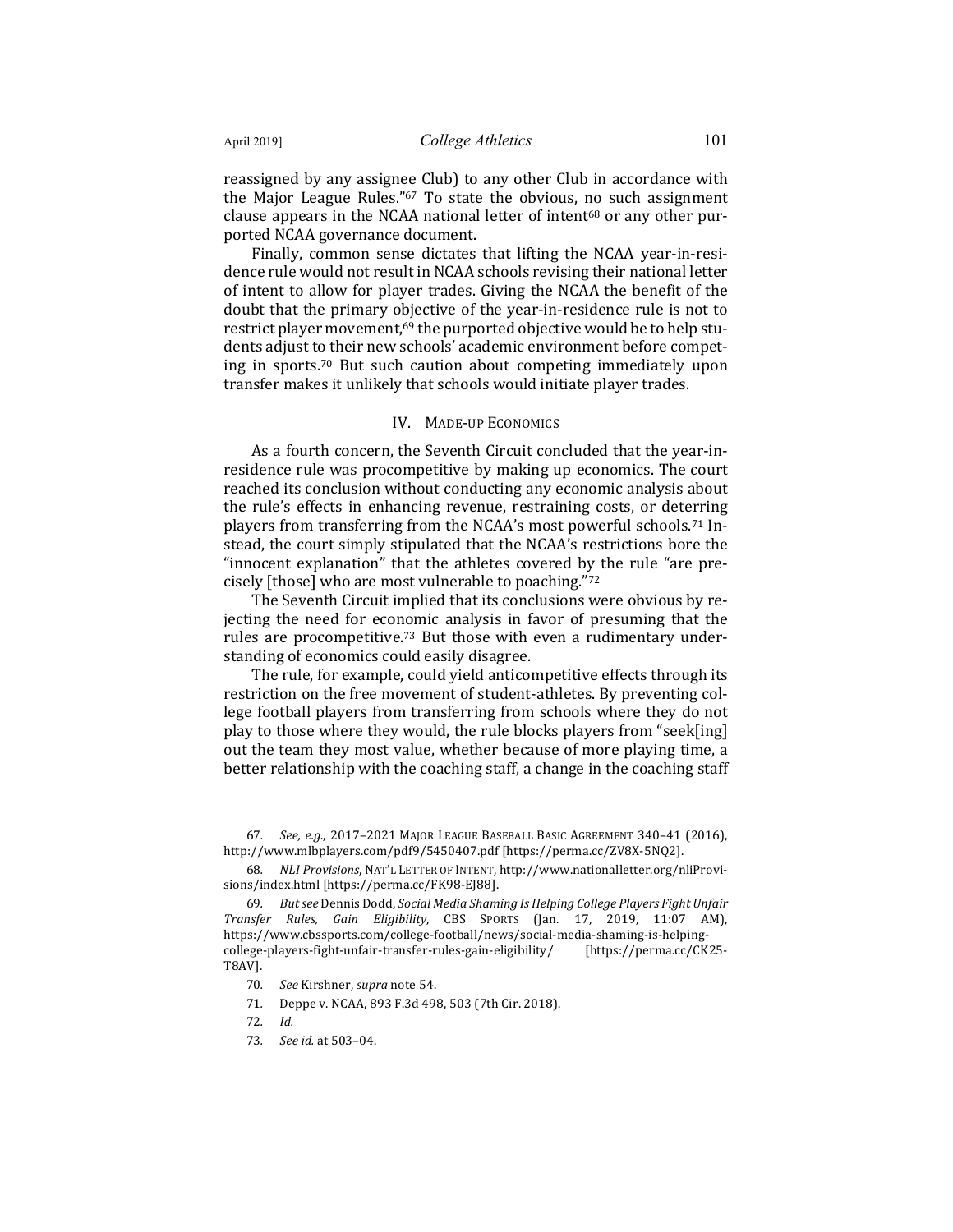reassigned by any assignee Club) to any other Club in accordance with the Major League Rules." $67$  To state the obvious, no such assignment clause appears in the NCAA national letter of intent<sup>68</sup> or any other purported NCAA governance document.

Finally, common sense dictates that lifting the NCAA year-in-residence rule would not result in NCAA schools revising their national letter of intent to allow for player trades. Giving the NCAA the benefit of the doubt that the primary objective of the year-in-residence rule is not to restrict player movement,<sup>69</sup> the purported objective would be to help students adjust to their new schools' academic environment before competing in sports.<sup>70</sup> But such caution about competing immediately upon transfer makes it unlikely that schools would initiate player trades.

#### IV. MADE-UP ECONOMICS

As a fourth concern, the Seventh Circuit concluded that the year-inresidence rule was procompetitive by making up economics. The court reached its conclusion without conducting any economic analysis about the rule's effects in enhancing revenue, restraining costs, or deterring players from transferring from the NCAA's most powerful schools.<sup>71</sup> Instead, the court simply stipulated that the NCAA's restrictions bore the "innocent explanation" that the athletes covered by the rule "are precisely [those] who are most vulnerable to poaching."72

The Seventh Circuit implied that its conclusions were obvious by rejecting the need for economic analysis in favor of presuming that the rules are procompetitive.<sup>73</sup> But those with even a rudimentary understanding of economics could easily disagree.

The rule, for example, could yield anticompetitive effects through its restriction on the free movement of student-athletes. By preventing college football players from transferring from schools where they do not play to those where they would, the rule blocks players from "seek[ing] out the team they most value, whether because of more playing time, a better relationship with the coaching staff, a change in the coaching staff

71. Deppe v. NCAA, 893 F.3d 498, 503 (7th Cir. 2018).

<sup>67</sup>*. See, e.g.*, 2017–2021 MAJOR LEAGUE BASEBALL BASIC AGREEMENT 340–41 (2016), http://www.mlbplayers.com/pdf9/5450407.pdf [https://perma.cc/ZV8X-5NQ2].

<sup>68</sup>*. NLI Provisions*, NAT'L LETTER OF INTENT, http://www.nationalletter.org/nliProvisions/index.html [https://perma.cc/FK98-EJ88].

<sup>69.</sup> *But see Dennis Dodd, Social Media Shaming Is Helping College Players Fight Unfair Transfer Rules, Gain Eligibility*, CBS SPORTS (Jan. 17, 2019, 11:07 AM), https://www.cbssports.com/college-football/news/social-media-shaming-is-helpingcollege-players-fight-unfair-transfer-rules-gain-eligibility/ [https://perma.cc/CK25- T8AV].

<sup>70.</sup> See Kirshner, *supra* note 54.

<sup>72</sup>*. Id.*

<sup>73</sup>*. See id.* at 503–04.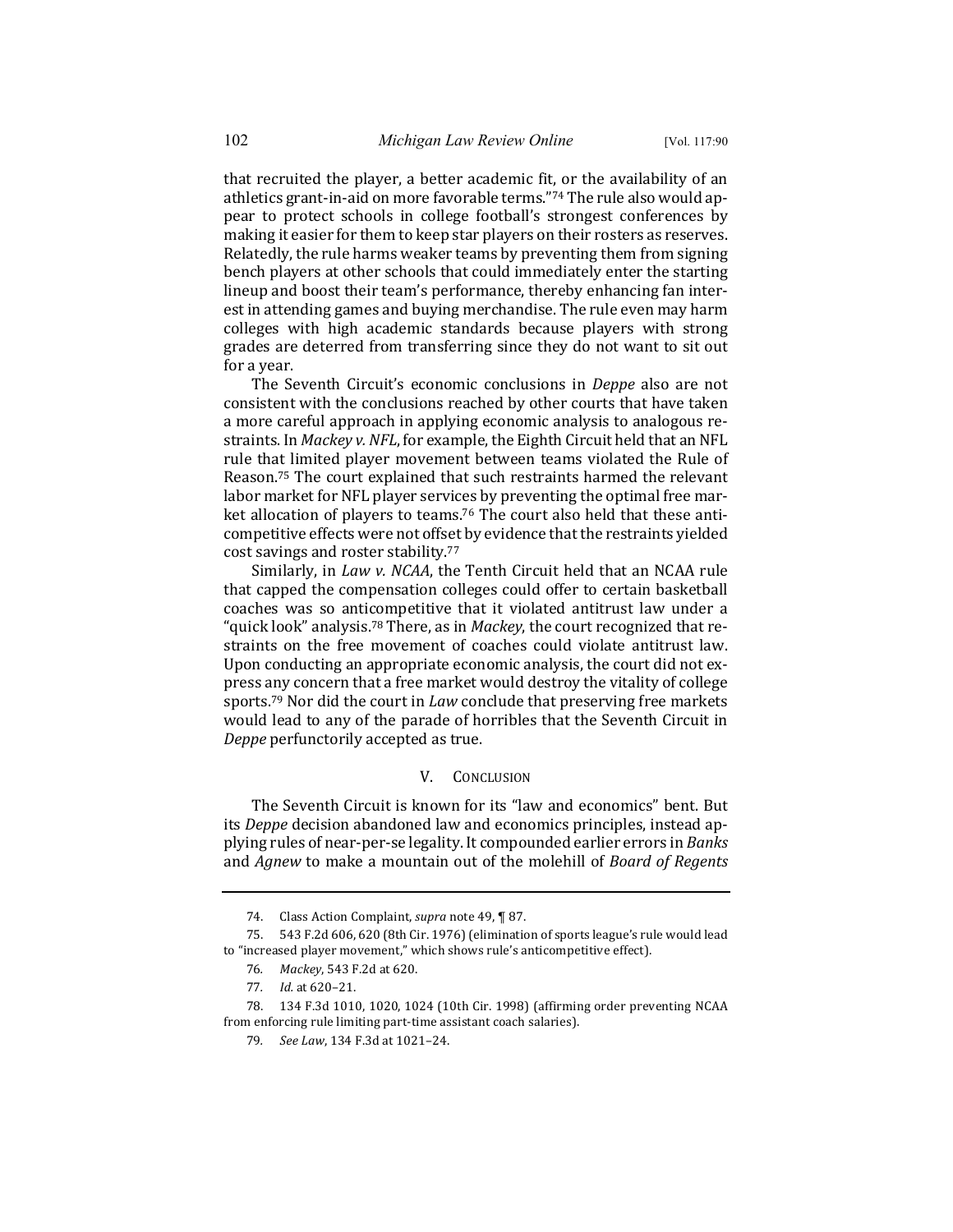that recruited the player, a better academic fit, or the availability of an athletics grant-in-aid on more favorable terms."74 The rule also would appear to protect schools in college football's strongest conferences by making it easier for them to keep star players on their rosters as reserves. Relatedly, the rule harms weaker teams by preventing them from signing bench players at other schools that could immediately enter the starting lineup and boost their team's performance, thereby enhancing fan interest in attending games and buying merchandise. The rule even may harm colleges with high academic standards because players with strong grades are deterred from transferring since they do not want to sit out for a year.

The Seventh Circuit's economic conclusions in *Deppe* also are not consistent with the conclusions reached by other courts that have taken a more careful approach in applying economic analysis to analogous restraints. In *Mackey v. NFL*, for example, the Eighth Circuit held that an NFL rule that limited player movement between teams violated the Rule of Reason.<sup>75</sup> The court explained that such restraints harmed the relevant labor market for NFL player services by preventing the optimal free market allocation of players to teams.<sup>76</sup> The court also held that these anticompetitive effects were not offset by evidence that the restraints yielded cost savings and roster stability.<sup>77</sup>

Similarly, in *Law v. NCAA*, the Tenth Circuit held that an NCAA rule that capped the compensation colleges could offer to certain basketball coaches was so anticompetitive that it violated antitrust law under a "quick look" analysis.<sup>78</sup> There, as in *Mackey*, the court recognized that restraints on the free movement of coaches could violate antitrust law. Upon conducting an appropriate economic analysis, the court did not express any concern that a free market would destroy the vitality of college sports.<sup>79</sup> Nor did the court in *Law* conclude that preserving free markets would lead to any of the parade of horribles that the Seventh Circuit in *Deppe* perfunctorily accepted as true.

#### V. CONCLUSION

The Seventh Circuit is known for its "law and economics" bent. But its *Deppe* decision abandoned law and economics principles, instead applying rules of near-per-se legality. It compounded earlier errors in *Banks* and *Agnew* to make a mountain out of the molehill of *Board of Regents* 

<sup>74.</sup> Class Action Complaint, *supra* note 49, **[87.**]

<sup>75. 543</sup> F.2d 606, 620 (8th Cir. 1976) (elimination of sports league's rule would lead to "increased player movement," which shows rule's anticompetitive effect).

<sup>76</sup>*. Mackey*, 543 F.2d at 620.

<sup>77</sup>*. Id.* at 620–21.

<sup>78. 134</sup> F.3d 1010, 1020, 1024 (10th Cir. 1998) (affirming order preventing NCAA from enforcing rule limiting part-time assistant coach salaries).

<sup>79.</sup> See Law, 134 F.3d at 1021-24.